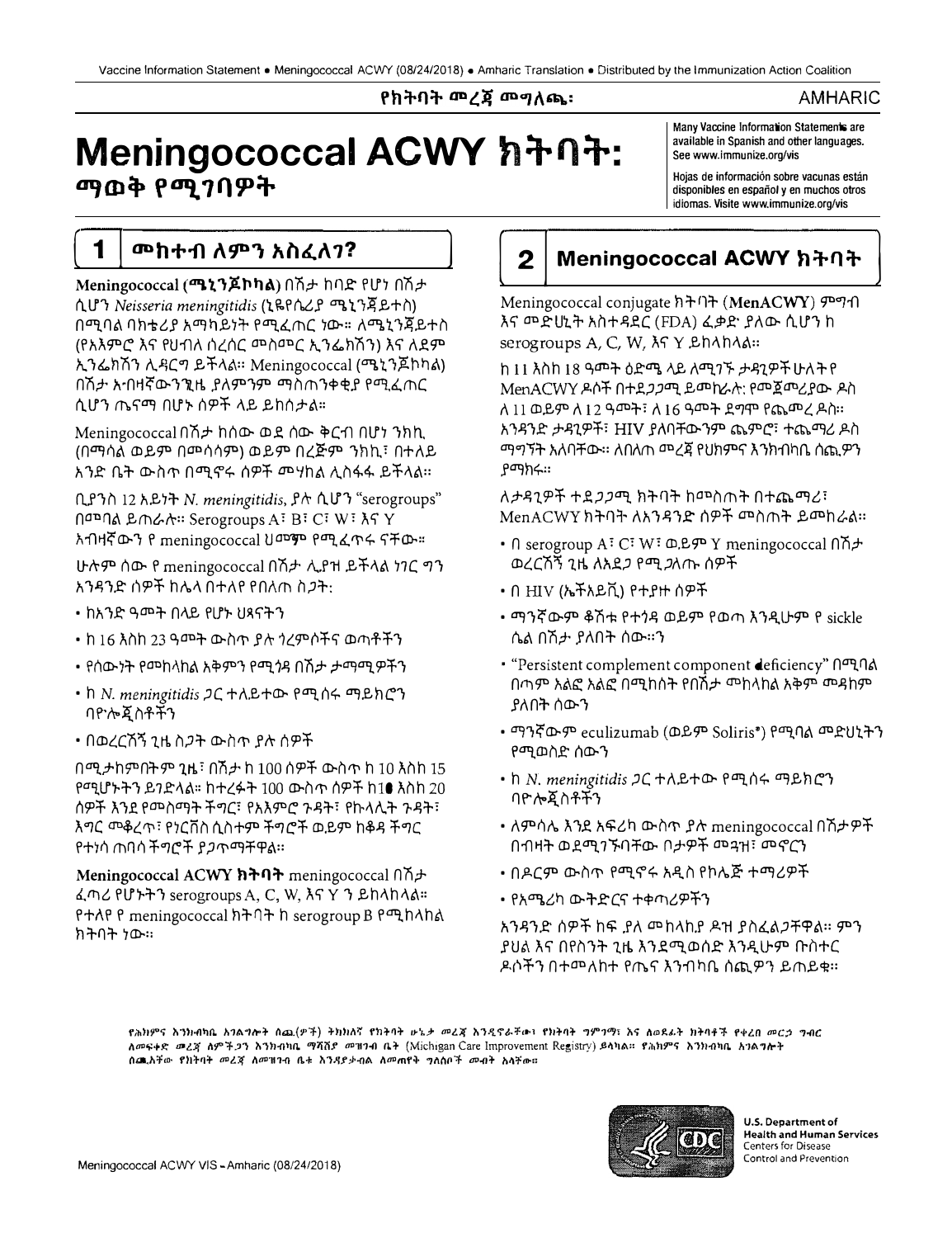# የክትባት መረጃ መማለጫ፡

## AMHARIC

# Meningococcal ACWY ክትባት: ማወቅ የሚገባዎት

Many Vaccine Information Statements are available in Spanish and other languages. See www.immunize.org/vis

Hojas de información sobre vacunas están disponibles en español y en muchos otros idiomas. Visite www.immunize.org/vis

# **መከተብ ለምን አስፈለገ?**

1

Meningococcal (**ሜኒንጆኮካል**) በሽታ ከባድ የሆነ በሽታ ሲሆን Neisseria meningitidis (ኒዬየሴሪያ ሜኒንጃይተስ) በማባል ባክቴሪያ አማካይነት የማፈጠር ነው። ለሜኒንጀይተስ (የአእምሮ እና የሀብለ ሰረሰር መስመር ኢንፌክሽን) እና ለደም ኢንፌክሽን ሊዳርግ ይችላል። Meningococcal (ሜኒንጆኮካል) በሽታ አብዛኛውንንዚ ያለምንም ማስጠንቀቂያ የሚፈጠር ሲሆን ጤናማ በሆኑ ሰዎች ላይ ይከሰታል።

Meningococcal በሽታ ከሰው ወደ ሰው ቅርብ በሆነ ንክኪ (በማሳል ወይም በመሳሳም) ወይም በረጅም ንክኪ፣ በተለይ አንድ ቤት ውስጥ በሚኖሩ ሰዎች መሃከል ሊስፋፋ ይችላል።

ቢያንስ 12 አይነት N. meningitidis, ያሉ ሲሆን "serogroups" በመባል ይጠራሉ። Serogroups A፣ B፣ C፣ W፣ እና Y አብዛኛውን የ meningococcal ህመም የሚፈጥሩ ናቸው።

ሁሉም ሰው የ meningococcal በሽታ ሊያዝ ይችላል ነገር ግን አንዳንድ ሰዎች ከሌለ በተለየ የበለጠ ስጋት·

- ከአንድ ዓመት በላይ የሆኑ ህጻናትን
- ከ 16 እስከ 23 ዓመት ውስጥ ያሉ ጎረምሶችና ወጣቶችን
- የሰውነት የመከላከል አቅምን የሚጎዳ በሽታ ታማሚዎችን
- h N. meningitidis ጋር ተለይተው የሚሰሩ ማይክሮን በዮሎጀስቶችን
- በወረርሽኝ ጊዜ ስ*ጋ*ት ውስጥ ያሉ ሰዎች

በሚታከምበትም ጊዜ፣ በሽታ ከ 100 ሰዎች ውስጥ ከ 10 እስከ 15 የሚሆኑትን ይንድላል። ከተረፉት 100 ውስጥ ሰዎች ከ10 እስከ 20 ሰዎች እንደ የመስማት ችግር፣ የአእምሮ ጉዳት፣ የኩላሊት ጉዳት፣ እግር መቆረጥ፣ የነርቨስ ሲስተም ችግሮች ወይም ከቆዳ ችግር የተነሳ ጠባሳችግሮች ያ*ጋ*ጥማቸዋል።

Meningococcal ACWY  $h \rightarrow 0$  meningococcal  $0 \rightarrow \rightarrow$ ፈጣሪ የሆኑትን serogroups A, C, W, እና Y ን ይከላከላል። የተለየ የ meningococcal ክትባት ከ serogroup B የሚከላከል ክትባት ነው።

#### Meningococcal ACWY ክትባት  $\boldsymbol{2}$

Meningococcal conjugate ክትባት (MenACWY) ምግብ እና መድሀኒት አስተዳደር (FDA) ፈቃድ ያለው ሲሆን ከ serogroups A.C. W.  $\lambda$   $\Upsilon$  Eh $\lambda$ h $\lambda$ a:

<u>ከ 11 እስከ 18 ዓመት ዕድሜ ላይ ለሚገኙ ታዳጊዎች ሁለት የ</u> MenACWY ዶሶች በተደ*ጋጋ*ሚ ይመከራሉ: የመጀመሪያው ዶስ ለ 11 ወይም ለ 12 ዓመት፣ ለ 16 ዓመት ደግሞ የጨመረ ዶስ። አንዳንድ ታዳጊዎች፣ HIV ያለባቸውንም ጨምሮ፣ ተጨማሪ ዶስ ማማኝት እለባቸው። ለበለጠ መረጃ የህክምና እንክብካቤ ሰጪዎን የማክሩ።

ለታዳንዎች ተደጋጋሚ ክትባት ከመስጠት በተጨማሪ፣ MenACWY ክትባት ለአንዳንድ ሰዎች መስጠት ይመከራል።

- n serogroup A: C: W: D.B.P Y meningococcal nn+ ወረርሽኝ ጊዜ ለአደጋ የሚ*ጋ*ለጡ ሰዎች
- በ HIV (ኤችአይቪ) የተያዙ ሰዎች
- ማንኛውም ቆሽቱ የተነዳ ወይም የወጣ እንዲሁም የ sickle ሴል በሽታ ያለበት ሰው።ን
- "Persistent complement component deficiency" በሚባል በጣም እልፎ እልፎ በሚከሰት የበሽታ መከላከል አቅም መዳከም ያለበት ሰውን
- ማንኛውም eculizumab (ወይም Soliris\*) የሚባል መድሀኒትን የማወስድ ሰውን
- h N. meningitidis ጋር ተለይተው የሚሰሩ ማይክሮን ባዮሎጇስቶችን
- ለምሳሌ እንደ አፍሪካ ውስጥ ያሉ meningococcal በሽታዎች በብዛት ወደሚገኙባቸው በታዎች መጓዝ፣ መኖርን
- በዶርም ውስጥ የሚኖሩ አዲስ የኮሌጅ ተማሪዎች
- የአሜሪካ ውትድርና ተቀጣሪዎችን

አንዳንድ ሰዎች ከፍ ያለ መከላከያ ዶዝ ያስፈልጋቸዋል። ምን ያሀል እና በየስንት ጊዜ እንደሚወሰድ እንዲሁም ቡስተር ዶሶችን በተመለከተ የጤና እንብካቤ ሰጪዎን ይጠይቁ።

<sub>ኖሕ</sub>ክምና እንክብካቤ አንልማሎት ስጨ(ዎች) ትክክለኛ የክትባት ሁኔ*ታ መ*ረጃ እንዲኖራቸው፣ የክትባት ግምገማ፣ እና ለወደፊት ክትባቶች የቀረበ *መርኃ ግብ*ር ለመፍቀድ መረጃ ለምችጋን እንክብካቤ ማሻሽድ መዝንብ ቤት (Michigan Care Improvement Registry) ይላካል። የሕክምና እንክብካቤ አንልግሎት በጨአቸው የክትባት መረጃ ለመዝገብ ቤቱ እንዳያቃብል ለመጠየቅ ግለሰቦች መብት አሳቸው።



**U.S. Department of Health and Human Services** Centers for Disease Control and Prevention